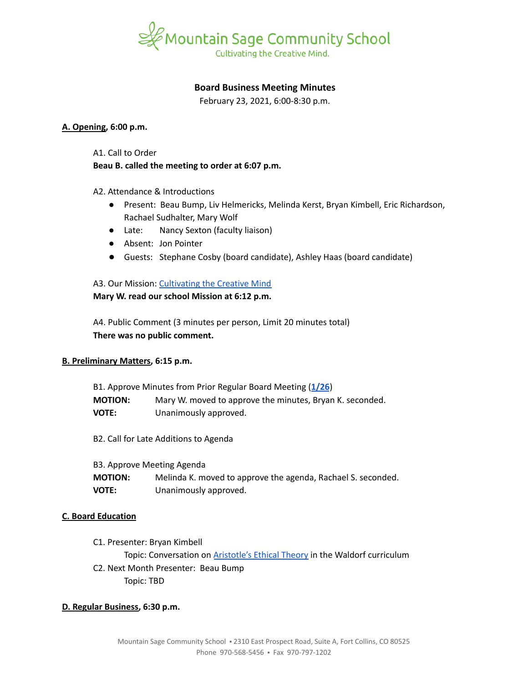

# **Board Business Meeting Minutes**

February 23, 2021, 6:00-8:30 p.m.

#### **A. Opening, 6:00 p.m.**

A1. Call to Order

## **Beau B. called the meeting to order at 6:07 p.m.**

A2. Attendance & Introductions

- Present: Beau Bump, Liv Helmericks, Melinda Kerst, Bryan Kimbell, Eric Richardson, Rachael Sudhalter, Mary Wolf
- Late: Nancy Sexton (faculty liaison)
- Absent: Jon Pointer
- Guests: Stephane Cosby (board candidate), Ashley Haas (board candidate)

A3. Our Mission: [Cultivating](https://www.mountainsage.org/about-us/mission-and-vision/) the Creative Mind **Mary W. read our school Mission at 6:12 p.m.**

A4. Public Comment (3 minutes per person, Limit 20 minutes total) **There was no public comment.**

# **B. Preliminary Matters, 6:15 p.m.**

| B1. Approve Minutes from Prior Regular Board Meeting (1/26) |                                                          |  |
|-------------------------------------------------------------|----------------------------------------------------------|--|
| <b>MOTION:</b>                                              | Mary W. moved to approve the minutes, Bryan K. seconded. |  |
| VOTE:                                                       | Unanimously approved.                                    |  |

B2. Call for Late Additions to Agenda

| B3. Approve Meeting Agenda |                                                              |  |
|----------------------------|--------------------------------------------------------------|--|
| <b>MOTION:</b>             | Melinda K. moved to approve the agenda, Rachael S. seconded. |  |
| VOTE:                      | Unanimously approved.                                        |  |

#### **C. Board Education**

C1. Presenter: Bryan Kimbell Topic: Conversation on **[Aristotle's](https://plato.stanford.edu/entries/aristotle-ethics/) Ethical Theory** in the Waldorf curriculum C2. Next Month Presenter: Beau Bump Topic: TBD

# **D. Regular Business, 6:30 p.m.**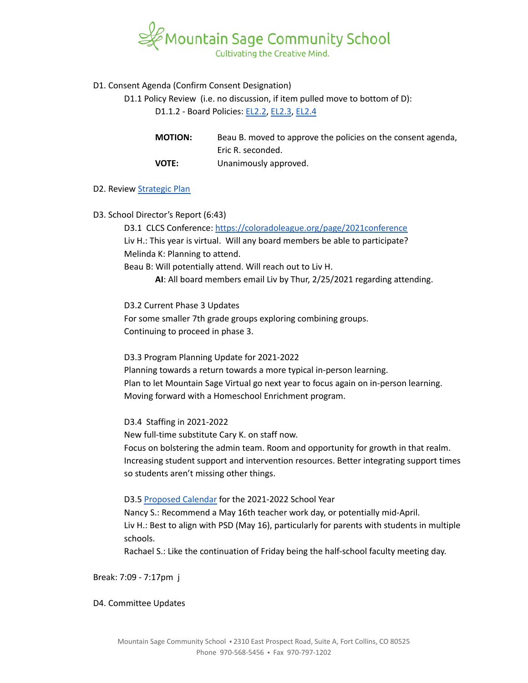

## D1. Consent Agenda (Confirm Consent Designation)

D1.1 Policy Review (i.e. no discussion, if item pulled move to bottom of D):

D1.1.2 - Board Policies: [EL2.2,](https://docs.google.com/document/d/1MaJBbBGpBoWaL7MoXpY0wSAT9GoCbewlcDQq-BFaU3Q) [EL2.3](https://docs.google.com/document/d/1GzmBOOp5v9S4NJmlkGL0iRVuHfhg_T72zoANrVKVbLg), [EL2.4](https://docs.google.com/document/d/1QInt2oOSDx0py9EtUsP6-0-OEZQcStkMdYw-gwIO3dU)

| <b>MOTION:</b> | Beau B. moved to approve the policies on the consent agenda, |
|----------------|--------------------------------------------------------------|
|                | Eric R. seconded.                                            |
| <b>VOTE:</b>   | Unanimously approved.                                        |

#### D2. Review [Strategic](https://docs.google.com/spreadsheets/d/1ZcsDhIjaJBoVOI2OMPaYkghgZi_yR7rn31ELgbvqf3E/view) Plan

D3. School Director's Report (6:43)

D3.1 CLCS Conference: <https://coloradoleague.org/page/2021conference> Liv H.: This year is virtual. Will any board members be able to participate? Melinda K: Planning to attend.

Beau B: Will potentially attend. Will reach out to Liv H.

**AI**: All board members email Liv by Thur, 2/25/2021 regarding attending.

D3.2 Current Phase 3 Updates

For some smaller 7th grade groups exploring combining groups. Continuing to proceed in phase 3.

D3.3 Program Planning Update for 2021-2022

Planning towards a return towards a more typical in-person learning. Plan to let Mountain Sage Virtual go next year to focus again on in-person learning. Moving forward with a Homeschool Enrichment program.

D3.4 Staffing in 2021-2022

New full-time substitute Cary K. on staff now.

Focus on bolstering the admin team. Room and opportunity for growth in that realm. Increasing student support and intervention resources. Better integrating support times so students aren't missing other things.

D3.5 [Proposed](https://drive.google.com/file/d/1jBXlWrghHWJdMCcNhsa80UkX9Id2Djsp/view) Calendar for the 2021-2022 School Year

Nancy S.: Recommend a May 16th teacher work day, or potentially mid-April. Liv H.: Best to align with PSD (May 16), particularly for parents with students in multiple schools.

Rachael S.: Like the continuation of Friday being the half-school faculty meeting day.

Break: 7:09 - 7:17pm j

D4. Committee Updates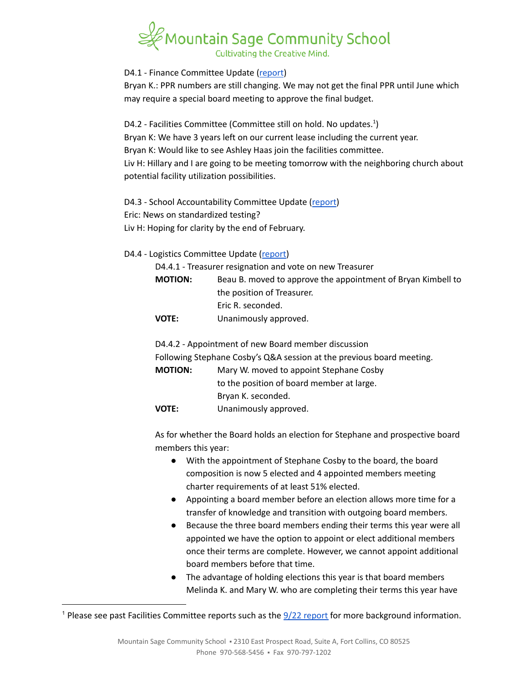# Cultivating the Creative Mind.

D4.1 - Finance Committee Update ([report](https://docs.google.com/document/d/1XoEZKZ9xYwvecVmqE_a_QEEAdd99NW3RzHFRmB2TH2o))

Bryan K.: PPR numbers are still changing. We may not get the final PPR until June which may require a special board meeting to approve the final budget.

D4.2 - Facilities Committee (Committee still on hold. No updates.<sup>1</sup>) Bryan K: We have 3 years left on our current lease including the current year. Bryan K: Would like to see Ashley Haas join the facilities committee. Liv H: Hillary and I are going to be meeting tomorrow with the neighboring church about potential facility utilization possibilities.

D4.3 - School Accountability Committee Update [\(report](https://docs.google.com/document/d/1twk1hNOVU7ip3PWd7frSUka65quMLB_OqtrFSZZKpCs)) Eric: News on standardized testing? Liv H: Hoping for clarity by the end of February.

# D4.4 - Logistics Committee Update ([report](https://docs.google.com/document/d/1bsQthgaMpJnWhRKeB1xg4aif6kp45ql4O2Fo26k5a68))

| D4.4.1 - Treasurer resignation and vote on new Treasurer |                                                              |  |
|----------------------------------------------------------|--------------------------------------------------------------|--|
| <b>MOTION:</b>                                           | Beau B. moved to approve the appointment of Bryan Kimbell to |  |
|                                                          | the position of Treasurer.                                   |  |
|                                                          | Eric R. seconded.                                            |  |
| <b>VOTE:</b>                                             | Unanimously approved.                                        |  |

D4.4.2 - Appointment of new Board member discussion Following Stephane Cosby's Q&A session at the previous board meeting. **MOTION:** Mary W. moved to appoint Stephane Cosby to the position of board member at large. Bryan K. seconded. **VOTE:** Unanimously approved.

As for whether the Board holds an election for Stephane and prospective board members this year:

- With the appointment of Stephane Cosby to the board, the board composition is now 5 elected and 4 appointed members meeting charter requirements of at least 51% elected.
- Appointing a board member before an election allows more time for a transfer of knowledge and transition with outgoing board members.
- Because the three board members ending their terms this year were all appointed we have the option to appoint or elect additional members once their terms are complete. However, we cannot appoint additional board members before that time.
- The advantage of holding elections this year is that board members Melinda K. and Mary W. who are completing their terms this year have

<sup>&</sup>lt;sup>1</sup> Please see past Facilities Committee [report](https://drive.google.com/file/d/1540MBFX75TZuJkqn_bNtGfqBp400VcC4/view?usp=sharing)s such as the  $\frac{9}{22}$  report for more background information.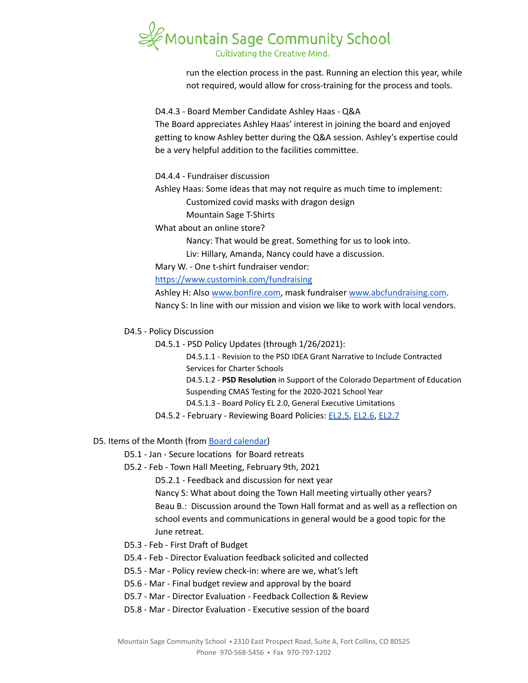

run the election process in the past. Running an election this year, while not required, would allow for cross-training for the process and tools.

D4.4.3 - Board Member Candidate Ashley Haas - Q&A

The Board appreciates Ashley Haas' interest in joining the board and enjoyed getting to know Ashley better during the Q&A session. Ashley's expertise could be a very helpful addition to the facilities committee.

D4.4.4 - Fundraiser discussion

Ashley Haas: Some ideas that may not require as much time to implement:

Customized covid masks with dragon design

Mountain Sage T-Shirts

What about an online store?

Nancy: That would be great. Something for us to look into.

Liv: Hillary, Amanda, Nancy could have a discussion.

Mary W. - One t-shirt fundraiser vendor:

<https://www.customink.com/fundraising>

Ashley H: Also [www.bonfire.com,](http://www.bonfire.com) mask fundraiser [www.abcfundraising.com.](http://www.abcfundraising.com) Nancy S: In line with our mission and vision we like to work with local vendors.

D4.5 - Policy Discussion

D4.5.1 - PSD Policy Updates (through 1/26/2021):

D4.5.1.1 - Revision to the PSD IDEA Grant Narrative to Include Contracted Services for Charter Schools

D4.5.1.2 - **PSD Resolution** in Support of the Colorado Department of Education Suspending CMAS Testing for the 2020-2021 School Year

D4.5.1.3 - Board Policy EL 2.0, General Executive Limitations

D4.5.2 - February - Reviewing Board Policies: [EL2.5](https://docs.google.com/document/d/1nYs8TvRZiMJCIYsfBXl8_YG7hKr1aksmEDiekAFgNk8), [EL2.6](https://docs.google.com/document/d/1oevLXsUA7soeB4_kwDFbjhBLkGQQPsNkIgzLJzFy3cU), [EL2.7](https://docs.google.com/document/d/1pri48vTezgmvyf6oLJZXObuZ68Wf_35LLqKNuTvSG2A)

#### D5. Items of the Month (from Board [calendar\)](https://docs.google.com/document/d/12S6s-qevYMsnj8Cr2yw6uMO7S7hL3gz2oKvXZk5ZndQ/edit?usp=sharing)

- D5.1 Jan Secure locations for Board retreats
- D5.2 Feb Town Hall Meeting, February 9th, 2021

D5.2.1 - Feedback and discussion for next year

Nancy S: What about doing the Town Hall meeting virtually other years? Beau B.: Discussion around the Town Hall format and as well as a reflection on school events and communications in general would be a good topic for the June retreat.

- D5.3 Feb First Draft of Budget
- D5.4 Feb Director Evaluation feedback solicited and collected
- D5.5 Mar Policy review check-in: where are we, what's left
- D5.6 Mar Final budget review and approval by the board
- D5.7 Mar Director Evaluation Feedback Collection & Review
- D5.8 Mar Director Evaluation Executive session of the board